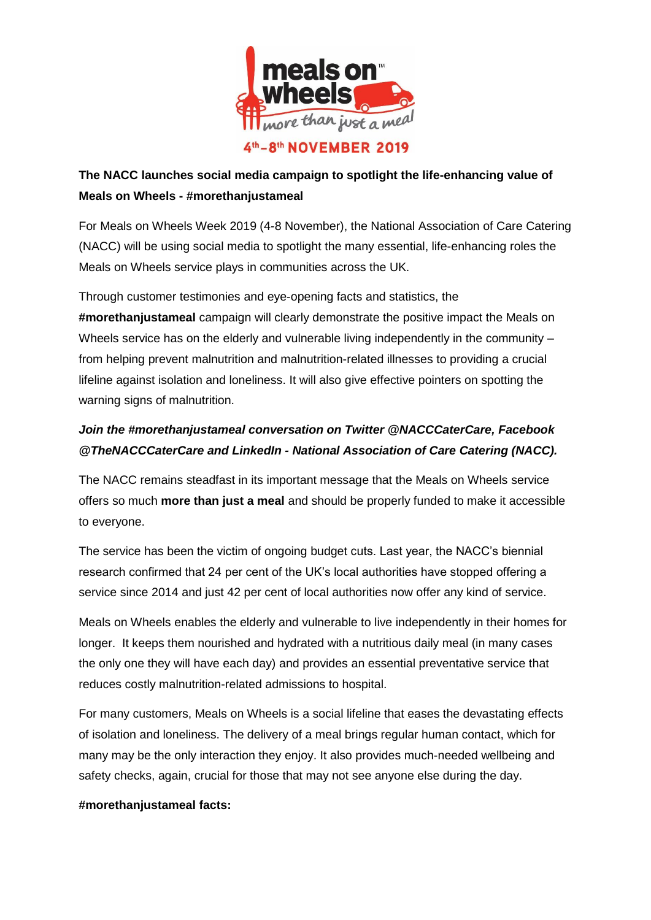

# **The NACC launches social media campaign to spotlight the life-enhancing value of Meals on Wheels - #morethanjustameal**

For Meals on Wheels Week 2019 (4-8 November), the National Association of Care Catering (NACC) will be using social media to spotlight the many essential, life-enhancing roles the Meals on Wheels service plays in communities across the UK.

Through customer testimonies and eye-opening facts and statistics, the **#morethanjustameal** campaign will clearly demonstrate the positive impact the Meals on Wheels service has on the elderly and vulnerable living independently in the community – from helping prevent malnutrition and malnutrition-related illnesses to providing a crucial lifeline against isolation and loneliness. It will also give effective pointers on spotting the warning signs of malnutrition.

## *Join the #morethanjustameal conversation on Twitter @NACCCaterCare, Facebook @TheNACCCaterCare and LinkedIn - National Association of Care Catering (NACC).*

The NACC remains steadfast in its important message that the Meals on Wheels service offers so much **more than just a meal** and should be properly funded to make it accessible to everyone.

The service has been the victim of ongoing budget cuts. Last year, the NACC's biennial research confirmed that 24 per cent of the UK's local authorities have stopped offering a service since 2014 and just 42 per cent of local authorities now offer any kind of service.

Meals on Wheels enables the elderly and vulnerable to live independently in their homes for longer. It keeps them nourished and hydrated with a nutritious daily meal (in many cases the only one they will have each day) and provides an essential preventative service that reduces costly malnutrition-related admissions to hospital.

For many customers, Meals on Wheels is a social lifeline that eases the devastating effects of isolation and loneliness. The delivery of a meal brings regular human contact, which for many may be the only interaction they enjoy. It also provides much-needed wellbeing and safety checks, again, crucial for those that may not see anyone else during the day.

### **#morethanjustameal facts:**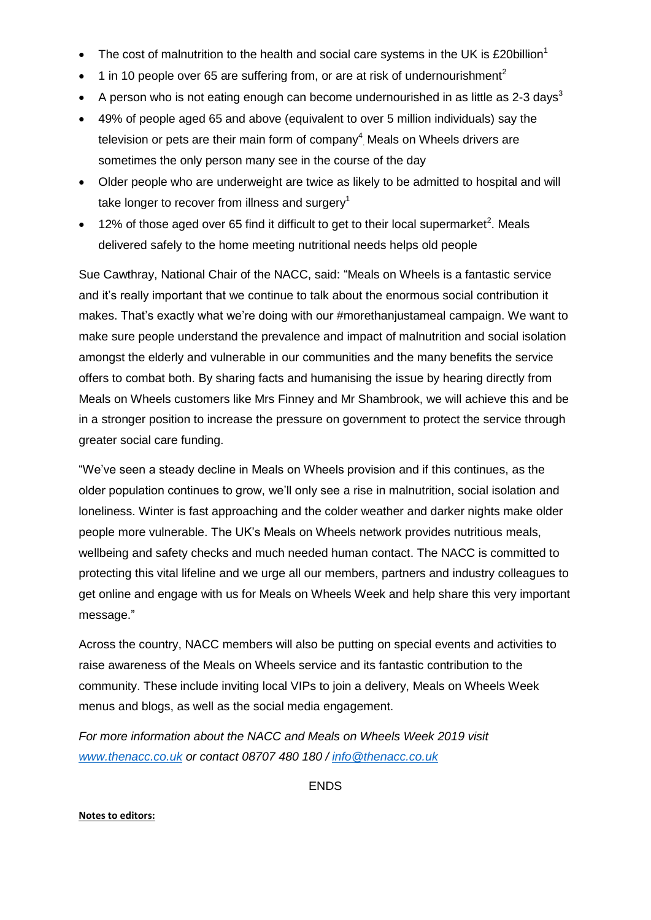- The cost of malnutrition to the health and social care systems in the UK is £20 billion<sup>1</sup>
- 1 in 10 people over 65 are suffering from, or are at risk of undernourishment<sup>2</sup>
- A person who is not eating enough can become undernourished in as little as 2-3 days<sup>3</sup>
- 49% of people aged 65 and above (equivalent to over 5 million individuals) say the television or pets are their main form of company $4$  Meals on Wheels drivers are sometimes the only person many see in the course of the day
- Older people who are underweight are twice as likely to be admitted to hospital and will take longer to recover from illness and surgery<sup>1</sup>
- $\bullet$  12% of those aged over 65 find it difficult to get to their local supermarket<sup>2</sup>. Meals delivered safely to the home meeting nutritional needs helps old people

Sue Cawthray, National Chair of the NACC, said: "Meals on Wheels is a fantastic service and it's really important that we continue to talk about the enormous social contribution it makes. That's exactly what we're doing with our #morethanjustameal campaign. We want to make sure people understand the prevalence and impact of malnutrition and social isolation amongst the elderly and vulnerable in our communities and the many benefits the service offers to combat both. By sharing facts and humanising the issue by hearing directly from Meals on Wheels customers like Mrs Finney and Mr Shambrook, we will achieve this and be in a stronger position to increase the pressure on government to protect the service through greater social care funding.

"We've seen a steady decline in Meals on Wheels provision and if this continues, as the older population continues to grow, we'll only see a rise in malnutrition, social isolation and loneliness. Winter is fast approaching and the colder weather and darker nights make older people more vulnerable. The UK's Meals on Wheels network provides nutritious meals, wellbeing and safety checks and much needed human contact. The NACC is committed to protecting this vital lifeline and we urge all our members, partners and industry colleagues to get online and engage with us for Meals on Wheels Week and help share this very important message."

Across the country, NACC members will also be putting on special events and activities to raise awareness of the Meals on Wheels service and its fantastic contribution to the community. These include inviting local VIPs to join a delivery, Meals on Wheels Week menus and blogs, as well as the social media engagement.

*For more information about the NACC and Meals on Wheels Week 2019 visit [www.thenacc.co.uk](http://www.thenacc.co.uk/) or contact 08707 480 180 / [info@thenacc.co.uk](mailto:info@thenacc.co.uk)*

ENDS

#### **Notes to editors:**